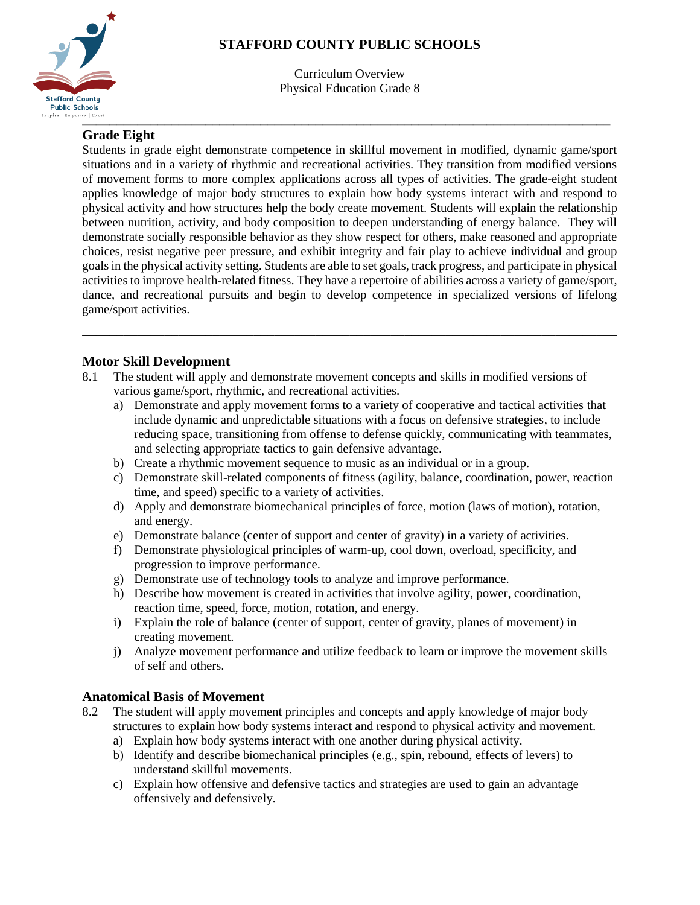

# **STAFFORD COUNTY PUBLIC SCHOOLS**

Curriculum Overview Physical Education Grade 8

## **Grade Eight**

Students in grade eight demonstrate competence in skillful movement in modified, dynamic game/sport situations and in a variety of rhythmic and recreational activities. They transition from modified versions of movement forms to more complex applications across all types of activities. The grade-eight student applies knowledge of major body structures to explain how body systems interact with and respond to physical activity and how structures help the body create movement. Students will explain the relationship between nutrition, activity, and body composition to deepen understanding of energy balance. They will demonstrate socially responsible behavior as they show respect for others, make reasoned and appropriate choices, resist negative peer pressure, and exhibit integrity and fair play to achieve individual and group goals in the physical activity setting. Students are able to set goals, track progress, and participate in physical activities to improve health-related fitness. They have a repertoire of abilities across a variety of game/sport, dance, and recreational pursuits and begin to develop competence in specialized versions of lifelong game/sport activities.

\_\_\_\_\_\_\_\_\_\_\_\_\_\_\_\_\_\_\_\_\_\_\_\_\_\_\_\_\_\_\_\_\_\_\_\_\_\_\_\_\_\_\_\_\_\_\_\_\_\_\_\_\_\_\_\_\_\_\_\_\_\_\_\_\_\_\_\_\_\_\_\_\_\_\_\_\_\_

## **Motor Skill Development**

- 8.1 The student will apply and demonstrate movement concepts and skills in modified versions of various game/sport, rhythmic, and recreational activities.
	- a) Demonstrate and apply movement forms to a variety of cooperative and tactical activities that include dynamic and unpredictable situations with a focus on defensive strategies, to include reducing space, transitioning from offense to defense quickly, communicating with teammates, and selecting appropriate tactics to gain defensive advantage.
	- b) Create a rhythmic movement sequence to music as an individual or in a group.
	- c) Demonstrate skill-related components of fitness (agility, balance, coordination, power, reaction time, and speed) specific to a variety of activities.
	- d) Apply and demonstrate biomechanical principles of force, motion (laws of motion), rotation, and energy.
	- e) Demonstrate balance (center of support and center of gravity) in a variety of activities.
	- f) Demonstrate physiological principles of warm-up, cool down, overload, specificity, and progression to improve performance.
	- g) Demonstrate use of technology tools to analyze and improve performance.
	- h) Describe how movement is created in activities that involve agility, power, coordination, reaction time, speed, force, motion, rotation, and energy.
	- i) Explain the role of balance (center of support, center of gravity, planes of movement) in creating movement.
	- j) Analyze movement performance and utilize feedback to learn or improve the movement skills of self and others.

#### **Anatomical Basis of Movement**

- 8.2 The student will apply movement principles and concepts and apply knowledge of major body structures to explain how body systems interact and respond to physical activity and movement.
	- a) Explain how body systems interact with one another during physical activity.
	- b) Identify and describe biomechanical principles (e.g., spin, rebound, effects of levers) to understand skillful movements.
	- c) Explain how offensive and defensive tactics and strategies are used to gain an advantage offensively and defensively.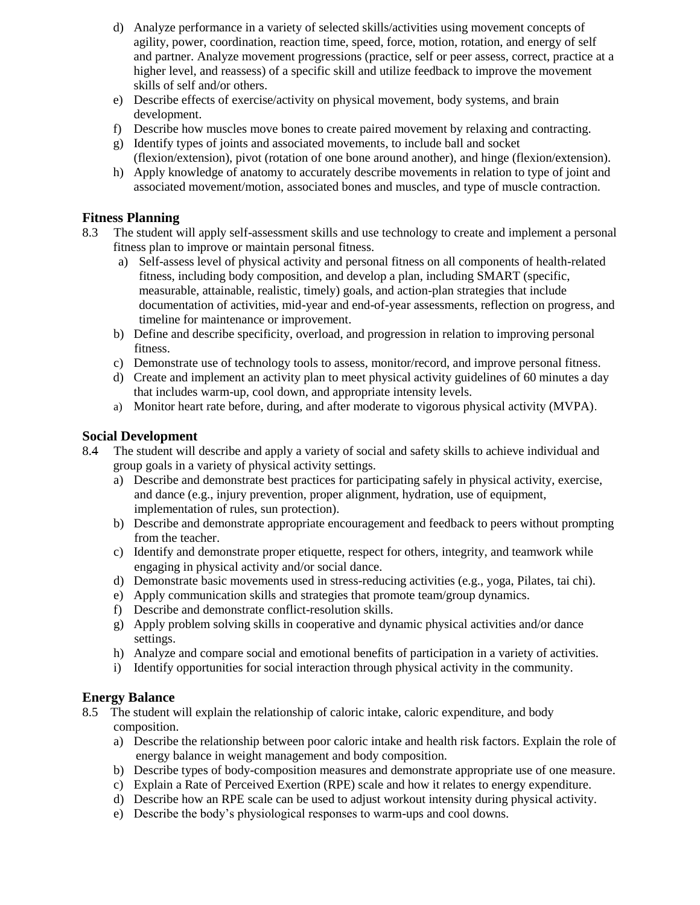- d) Analyze performance in a variety of selected skills/activities using movement concepts of agility, power, coordination, reaction time, speed, force, motion, rotation, and energy of self and partner. Analyze movement progressions (practice, self or peer assess, correct, practice at a higher level, and reassess) of a specific skill and utilize feedback to improve the movement skills of self and/or others.
- e) Describe effects of exercise/activity on physical movement, body systems, and brain development.
- f) Describe how muscles move bones to create paired movement by relaxing and contracting.
- g) Identify types of joints and associated movements, to include ball and socket (flexion/extension), pivot (rotation of one bone around another), and hinge (flexion/extension).
- h) Apply knowledge of anatomy to accurately describe movements in relation to type of joint and associated movement/motion, associated bones and muscles, and type of muscle contraction.

### **Fitness Planning**

- 8.3 The student will apply self-assessment skills and use technology to create and implement a personal fitness plan to improve or maintain personal fitness.
	- a) Self-assess level of physical activity and personal fitness on all components of health-related fitness, including body composition, and develop a plan, including SMART (specific, measurable, attainable, realistic, timely) goals, and action-plan strategies that include documentation of activities, mid-year and end-of-year assessments, reflection on progress, and timeline for maintenance or improvement.
	- b) Define and describe specificity, overload, and progression in relation to improving personal fitness.
	- c) Demonstrate use of technology tools to assess, monitor/record, and improve personal fitness.
	- d) Create and implement an activity plan to meet physical activity guidelines of 60 minutes a day that includes warm-up, cool down, and appropriate intensity levels.
	- a) Monitor heart rate before, during, and after moderate to vigorous physical activity (MVPA).

#### **Social Development**

- 8.4 The student will describe and apply a variety of social and safety skills to achieve individual and group goals in a variety of physical activity settings.
	- a) Describe and demonstrate best practices for participating safely in physical activity, exercise, and dance (e.g., injury prevention, proper alignment, hydration, use of equipment, implementation of rules, sun protection).
	- b) Describe and demonstrate appropriate encouragement and feedback to peers without prompting from the teacher.
	- c) Identify and demonstrate proper etiquette, respect for others, integrity, and teamwork while engaging in physical activity and/or social dance.
	- d) Demonstrate basic movements used in stress-reducing activities (e.g., yoga, Pilates, tai chi).
	- e) Apply communication skills and strategies that promote team/group dynamics.
	- f) Describe and demonstrate conflict-resolution skills.
	- g) Apply problem solving skills in cooperative and dynamic physical activities and/or dance settings.
	- h) Analyze and compare social and emotional benefits of participation in a variety of activities.
	- i) Identify opportunities for social interaction through physical activity in the community.

#### **Energy Balance**

8.5 The student will explain the relationship of caloric intake, caloric expenditure, and body composition.

- a) Describe the relationship between poor caloric intake and health risk factors. Explain the role of energy balance in weight management and body composition.
- b) Describe types of body-composition measures and demonstrate appropriate use of one measure.
- c) Explain a Rate of Perceived Exertion (RPE) scale and how it relates to energy expenditure.
- d) Describe how an RPE scale can be used to adjust workout intensity during physical activity.
- e) Describe the body's physiological responses to warm-ups and cool downs.